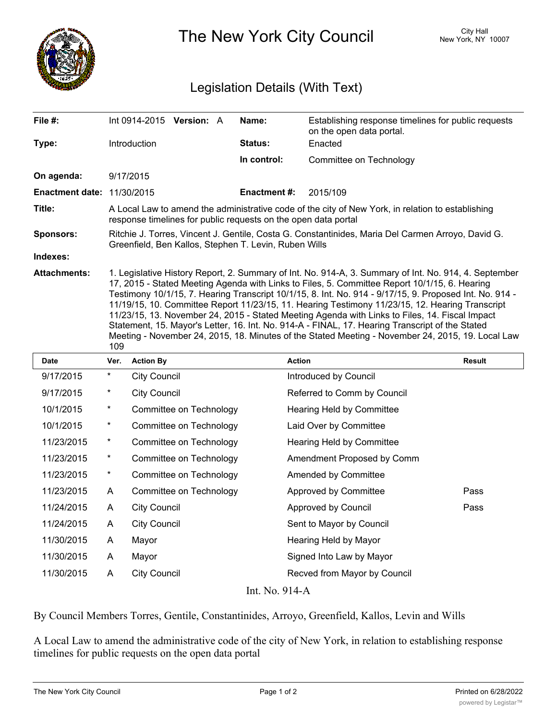

The New York City Council New York, NY 10007

## Legislation Details (With Text)

| File #:                           | Int $0914 - 2015$ Version: A                                                                                                                                                                                                                                                                                                                                                                                                                                                                                                                                                                                                                                                                                                          | Name:               | Establishing response timelines for public requests<br>on the open data portal. |  |  |
|-----------------------------------|---------------------------------------------------------------------------------------------------------------------------------------------------------------------------------------------------------------------------------------------------------------------------------------------------------------------------------------------------------------------------------------------------------------------------------------------------------------------------------------------------------------------------------------------------------------------------------------------------------------------------------------------------------------------------------------------------------------------------------------|---------------------|---------------------------------------------------------------------------------|--|--|
| Type:                             | <b>Introduction</b>                                                                                                                                                                                                                                                                                                                                                                                                                                                                                                                                                                                                                                                                                                                   | <b>Status:</b>      | Enacted                                                                         |  |  |
|                                   |                                                                                                                                                                                                                                                                                                                                                                                                                                                                                                                                                                                                                                                                                                                                       | In control:         | Committee on Technology                                                         |  |  |
| On agenda:                        | 9/17/2015                                                                                                                                                                                                                                                                                                                                                                                                                                                                                                                                                                                                                                                                                                                             |                     |                                                                                 |  |  |
| <b>Enactment date: 11/30/2015</b> |                                                                                                                                                                                                                                                                                                                                                                                                                                                                                                                                                                                                                                                                                                                                       | <b>Enactment #:</b> | 2015/109                                                                        |  |  |
| Title:                            | A Local Law to amend the administrative code of the city of New York, in relation to establishing<br>response timelines for public requests on the open data portal                                                                                                                                                                                                                                                                                                                                                                                                                                                                                                                                                                   |                     |                                                                                 |  |  |
| <b>Sponsors:</b>                  | Ritchie J. Torres, Vincent J. Gentile, Costa G. Constantinides, Maria Del Carmen Arroyo, David G.<br>Greenfield, Ben Kallos, Stephen T. Levin, Ruben Wills                                                                                                                                                                                                                                                                                                                                                                                                                                                                                                                                                                            |                     |                                                                                 |  |  |
| Indexes:                          |                                                                                                                                                                                                                                                                                                                                                                                                                                                                                                                                                                                                                                                                                                                                       |                     |                                                                                 |  |  |
| <b>Attachments:</b>               | 1. Legislative History Report, 2. Summary of Int. No. 914-A, 3. Summary of Int. No. 914, 4. September<br>17, 2015 - Stated Meeting Agenda with Links to Files, 5. Committee Report 10/1/15, 6. Hearing<br>- Testimony 10/1/15, 7. Hearing Transcript 10/1/15, 8. Int. No. 914 - 9/17/15, 9. Proposed Int. No. 914<br>11/19/15, 10. Committee Report 11/23/15, 11. Hearing Testimony 11/23/15, 12. Hearing Transcript<br>11/23/15, 13. November 24, 2015 - Stated Meeting Agenda with Links to Files, 14. Fiscal Impact<br>Statement, 15. Mayor's Letter, 16. Int. No. 914-A - FINAL, 17. Hearing Transcript of the Stated<br>Meeting - November 24, 2015, 18. Minutes of the Stated Meeting - November 24, 2015, 19. Local Law<br>109 |                     |                                                                                 |  |  |

| <b>Date</b>                                  | Ver.       | <b>Action By</b>        | <b>Action</b>                | <b>Result</b> |  |
|----------------------------------------------|------------|-------------------------|------------------------------|---------------|--|
| 9/17/2015                                    | $^{\star}$ | <b>City Council</b>     | Introduced by Council        |               |  |
| 9/17/2015                                    | $^\star$   | <b>City Council</b>     | Referred to Comm by Council  |               |  |
| 10/1/2015                                    | $\star$    | Committee on Technology | Hearing Held by Committee    |               |  |
| 10/1/2015                                    | $^\star$   | Committee on Technology | Laid Over by Committee       |               |  |
| 11/23/2015                                   | $\star$    | Committee on Technology | Hearing Held by Committee    |               |  |
| 11/23/2015                                   | $^{\star}$ | Committee on Technology | Amendment Proposed by Comm   |               |  |
| 11/23/2015                                   | $\star$    | Committee on Technology | Amended by Committee         |               |  |
| 11/23/2015                                   | A          | Committee on Technology | Approved by Committee        | Pass          |  |
| 11/24/2015                                   | A          | <b>City Council</b>     | Approved by Council          | Pass          |  |
| 11/24/2015                                   | A          | <b>City Council</b>     | Sent to Mayor by Council     |               |  |
| 11/30/2015                                   | A          | Mayor                   | Hearing Held by Mayor        |               |  |
| 11/30/2015                                   | A          | Mayor                   | Signed Into Law by Mayor     |               |  |
| 11/30/2015                                   | A          | <b>City Council</b>     | Recved from Mayor by Council |               |  |
| $T_{\text{out}}$ NT. $\bigcap_{i=1}^{n} A_i$ |            |                         |                              |               |  |

Int. No. 914-A

By Council Members Torres, Gentile, Constantinides, Arroyo, Greenfield, Kallos, Levin and Wills

A Local Law to amend the administrative code of the city of New York, in relation to establishing response timelines for public requests on the open data portal